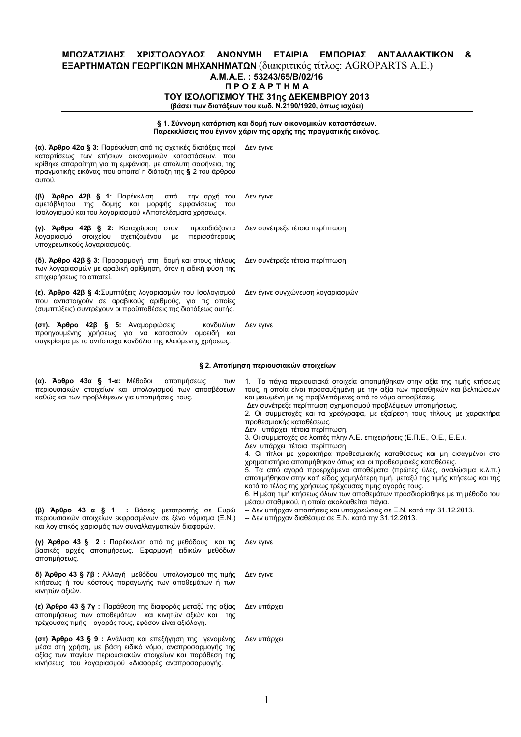### ΜΠΟΖΑΤΖΙΔΗΣ ΧΡΙΣΤΟΔΟΥΛΟΣ ΑΝΩΝΥΜΗ ΕΤΑΙΡΙΑ ΕΜΠΟΡΙΑΣ ΑΝΤΑΛΛΑΚΤΙΚΩΝ & **ΕΞΑΡΤΗΜΑΤΩΝ ΓΕΩΡΓΙΚΩΝ ΜΗΧΑΝΗΜΑΤΩΝ** (διακριτικός τίτλος: AGROPARTS A.E.) A.M.A.E.: 53243/65/B/02/16 **ΠΡΟΣΑΡΤΗΜΑ** ΤΟΥ ΙΣΟΛΟΓΙΣΜΟΥ ΤΗΣ 31ης ΔΕΚΕΜΒΡΙΟΥ 2013 (βάσει των διατάξεων του κωδ. Ν.2190/1920, όπως ισχύει)

# § 1. Σύννομη κατάρτιση και δομή των οικονομικών καταστάσεων.<br>Παρεκκλίσεις που έγιναν χάριν της αρχής της πραγματικής εικόνας.

| (α). Άρθρο 42α § 3: Παρέκκλιση από τις σχετικές διατάξεις περί<br>καταρτίσεως των ετήσιων οικονομικών καταστάσεων, που<br>κρίθηκε απαραίτητη για τη εμφάνιση, με απόλυτη σαφήνεια, της<br>πραγματικής εικόνας που απαιτεί η διάταξη της § 2 του άρθρου<br>αυτού. | Δεν έγινε                        |
|------------------------------------------------------------------------------------------------------------------------------------------------------------------------------------------------------------------------------------------------------------------|----------------------------------|
| (β). Άρθρο 42β § 1: Παρέκκλιση από την αρχή του<br>αμετάβλητου της δομής και μορφής εμφανίσεως του<br>Ισολογισμού και του λογαριασμού «Αποτελέσματα χρήσεως».                                                                                                    | Δεν έγινε                        |
| (γ). Άρθρο 42β § 2: Καταχώριση στον<br>προσιδιάζοντα<br>λογαριασμό στοιχείου σχετιζομένου με<br>περισσότερους<br>υποχρεωτικούς λογαριασμούς.                                                                                                                     | Δεν συνέτρεξε τέτοια περίπτωση   |
| (δ). Άρθρο 42β § 3: Προσαρμογή στη δομή και στους τίτλους<br>των λογαριασμών με αραβική αρίθμηση, όταν η ειδική φύση της<br>επιχειρήσεως το απαιτεί.                                                                                                             | Δεν συνέτρεξε τέτοια περίπτωση   |
| (ε). Άρθρο 42β § 4: Συμπτύξεις λογαριασμών του Ισολογισμού<br>που αντιστοιχούν σε αραβικούς αριθμούς, για τις οποίες<br>(συμπτύξεις) συντρέχουν οι προϋποθέσεις της διατάξεως αυτής.                                                                             | Δεν έγινε συγχώνευση λογαριασμών |
| (στ). Άρθρο 42β § 5: Αναμορφώσεις<br>κονδυλίων<br>προηγουμένης χρήσεως για να καταστούν ομοειδή και<br>συγκρίσιμα με τα αντίστοιχα κονδύλια της κλειόμενης χρήσεως.                                                                                              | Δεν έγινε                        |

#### § 2. Αποτίμηση περιουσιακών στοιχείων

| (α). Άρθρο 43α § 1-α: Μέθοδοι αποτιμήσεως<br>Των<br>περιουσιακών στοιχείων και υπολογισμού των αποσβέσεων<br>καθώς και των προβλέψεων για υποτιμήσεις τους.<br>(β) Άρθρο 43 α § 1 : Βάσεις μετατροπής σε Ευρώ<br>περιουσιακών στοιχείων εκφρασμένων σε ξένο νόμισμα (Ξ.Ν.)<br>και λογιστικός χειρισμός των συναλλαγματικών διαφορών. | 1. Τα πάγια περιουσιακά στοιχεία αποτιμήθηκαν στην αξία της τιμής κτήσεως<br>τους, η οποία είναι προσαυξημένη με την αξία των προσθηκών και βελτιώσεων<br>και μειωμένη με τις προβλεπόμενες από το νόμο αποσβέσεις.<br>Δεν συνέτρεξε περίπτωση σχηματισμού προβλέψεων υποτιμήσεως.<br>2. Οι συμμετοχές και τα χρεόγραφα, με εξαίρεση τους τίτλους με χαρακτήρα<br>προθεσμιακής καταθέσεως.<br>Δεν υπάρχει τέτοια περίπτωση.<br>3. Οι συμμετοχές σε λοιπές πλην Α.Ε. επιχειρήσεις (Ε.Π.Ε., Ο.Ε., Ε.Ε.).<br>Δεν υπάρχει τέτοια περίπτωση<br>4. Οι τίτλοι με χαρακτήρα προθεσμιακής καταθέσεως και μη εισαγμένοι στο<br>χρηματιστήριο αποτιμήθηκαν όπως και οι προθεσμιακές καταθέσεις.<br>5. Τα από αγορά προερχόμενα αποθέματα (πρώτες ύλες, αναλώσιμα κ.λ.π.)<br>αποτιμήθηκαν στην κατ' είδος χαμηλότερη τιμή, μεταξύ της τιμής κτήσεως και της<br>κατά το τέλος της χρήσεως τρέχουσας τιμής αγοράς τους.<br>6. Η μέση τιμή κτήσεως όλων των αποθεμάτων προσδιορίσθηκε με τη μέθοδο του<br>μέσου σταθμικού, η οποία ακολουθείται πάγια.<br>-- Δεν υπήρχαν απαιτήσεις και υποχρεώσεις σε Ξ.Ν. κατά την 31.12.2013.<br>-- Δεν υπήρχαν διαθέσιμα σε Ξ.Ν. κατά την 31.12.2013. |  |  |  |  |
|--------------------------------------------------------------------------------------------------------------------------------------------------------------------------------------------------------------------------------------------------------------------------------------------------------------------------------------|----------------------------------------------------------------------------------------------------------------------------------------------------------------------------------------------------------------------------------------------------------------------------------------------------------------------------------------------------------------------------------------------------------------------------------------------------------------------------------------------------------------------------------------------------------------------------------------------------------------------------------------------------------------------------------------------------------------------------------------------------------------------------------------------------------------------------------------------------------------------------------------------------------------------------------------------------------------------------------------------------------------------------------------------------------------------------------------------------------------------------------------------------------------------------|--|--|--|--|
| (γ) Άρθρο 43 § 2 : Παρέκκλιση από τις μεθόδους και τις<br>βασικές αρχές αποτιμήσεως. Εφαρμογή ειδικών μεθόδων<br>αποτιμήσεως.                                                                                                                                                                                                        | Δεν έγινε                                                                                                                                                                                                                                                                                                                                                                                                                                                                                                                                                                                                                                                                                                                                                                                                                                                                                                                                                                                                                                                                                                                                                                  |  |  |  |  |
| δ) Άρθρο 43 § 7β : Αλλαγή μεθόδου υπολογισμού της τιμής<br>κτήσεως ή του κόστους παραγωγής των αποθεμάτων ή των<br>κινητών αξιών.                                                                                                                                                                                                    | Δεν έγινε                                                                                                                                                                                                                                                                                                                                                                                                                                                                                                                                                                                                                                                                                                                                                                                                                                                                                                                                                                                                                                                                                                                                                                  |  |  |  |  |
| (ε) Άρθρο 43 § 7γ : Παράθεση της διαφοράς μεταξύ της αξίας<br>αποτιμήσεως των αποθεμάτων και κινητών αξιών και της<br>τρέχουσας τιμής αγοράς τους, εφόσον είναι αξιόλογη.                                                                                                                                                            | Δεν υπάρχει                                                                                                                                                                                                                                                                                                                                                                                                                                                                                                                                                                                                                                                                                                                                                                                                                                                                                                                                                                                                                                                                                                                                                                |  |  |  |  |
| (στ) Άρθρο 43 § 9 : Ανάλυση και επεξήγηση της γενομένης<br>μέσα στη χρήση, με βάση ειδικό νόμο, αναπροσαρμογής της<br>αξίας των παγίων περιουσιακών στοιχείων και παράθεση της<br>κινήσεως του λογαριασμού «Διαφορές αναπροσαρμογής.                                                                                                 | Δεν υπάρχει                                                                                                                                                                                                                                                                                                                                                                                                                                                                                                                                                                                                                                                                                                                                                                                                                                                                                                                                                                                                                                                                                                                                                                |  |  |  |  |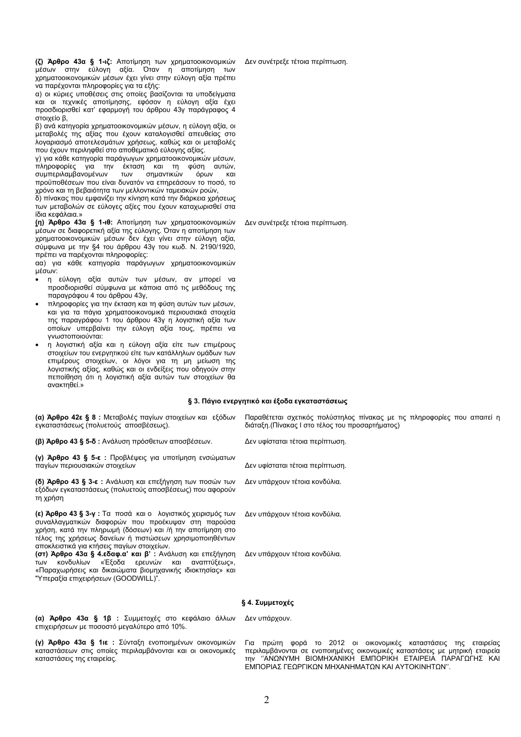(ζ) Άρθρο 43α § 1-ιζ: Αποτίμηση των χρηματοοικονομικών μέσων στην εύλογη αξία. Όταν η αποτίμηση των χρηματοοικονομικών μέσων έχει γίνει στην εύλογη αξία πρέπει να παρέχονται πληροφορίες για τα εξής:

α) οι κύριες υποθέσεις στις οποίες βασίζονται τα υποδείγματα και οι τεχνικές αποτίμησης, εφόσον η εύλογη αξία έχει προσδιορισθεί κατ' εφαρμογή του άρθρου 43γ παράγραφος 4 στοιχείο β,

β) ανά κατηγορία χρηματοοικονομικών μέσων, η εύλογη αξία, οι μεταβολές της αξίας που έχουν καταλογισθεί απευθείας στο λογαριασμό αποτελεσμάτων χρήσεως, καθώς και οι μεταβολές που έχουν περιληφθεί στο αποθεματικό εύλογης αξίας.

γ) για κάθε κατηγορία παράγωγων χρηματοοικονομικών μέσων, πληροφορίες για την έκταση και τη φύση αυτών, συμπεριλαμβανομένων σημαντικών όρων Των προϋποθέσεων που είναι δυνατόν να επηρεάσουν το ποσό, το χρόνο και τη βεβαιότητα των μελλοντικών ταμειακών ροών,

δ) πίνακας που εμφανίζει την κίνηση κατά την διάρκεια χρήσεως των μεταβολών σε εύλογες αξίες που έχουν καταχωρίσθεί στα ίδια κεφάλαια.»

(η) Άρθρο 43α § 1-ιθ: Αποτίμηση των χρηματοοικονομικών μέσων σε διαφορετική αξία της εύλογης. Όταν η αποτίμηση των χρηματοοικονομικών μέσων δεν έχει γίνει στην εύλογη αξία, σύμφωνα με την §4 του άρθρου 43γ του κωδ. Ν. 2190/1920, πρέπει να παρέχονται πληροφορίες:

αα) για κάθε κατηγορία παράγωγων χρηματοοικονομικών μέσων:

- η εύλογη αξία αυτών των μέσων, αν μπορεί να προσδιορισθεί σύμφωνα με κάποια από τις μεθόδους της παραγράφου 4 του άρθρου 43γ.
- πληροφορίες για την έκταση και τη φύση αυτών των μέσων, και για τα πάγια χρηματοοικονομικά περιουσιακά στοιχεία της παραγράφου 1 του άρθρου 43γ η λογιστική αξία των οποίων υπερβαίνει την εύλογη αξία τους, πρέπει να ννωστοποιούνται:
- η λογιστική αξία και η εύλογη αξία είτε των επιμέρους στοιχείων του ενεργητικού είτε των κατάλληλων ομάδων των επιμέρους στοιχείων, οι λόγοι για τη μη μείωση της λογιστικής αξίας, καθώς και οι ενδείξεις που οδηγούν στην πεποίθηση ότι η λογιστική αξία αυτών των στοιχείων θα ανακτηθεί.»

#### § 3. Πάγιο ενεργητικό και έξοδα εγκαταστάσεως

(α) Άρθρο 42ε § 8 : Μεταβολές παγίων στοιχείων και εξόδων Παραθέτεται σχετικός πολύστηλος πίνακας με τις πληροφορίες που απαιτεί η εγκαταστάσεως (πολυετούς αποσβέσεως). διάταξη (Πίνακας Ι στο τέλος του προσαρτήματος)

(β) Άρθρο 43 § 5-δ: Ανάλυση πρόσθετων αποσβέσεων.

(γ) Άρθρο 43 § 5-ε : Προβλέψεις για υποτίμηση ενσώματων πανίων περιουσιακών στοιχείων

(δ) Άρθρο 43 § 3-ε: Ανάλυση και επεξήγηση των ποσών των εξόδων εγκαταστάσεως (πολυετούς αποσβέσεως) που αφορούν τη χρήση

(ε) Άρθρο 43 § 3-γ : Τα ποσά και ο λογιστικός χειρισμός των συναλλαγματικών διαφορών που προέκυψαν στη παρούσα χρήση, κατά την πληρωμή (δόσεων) και /ή την αποτίμηση στο τέλος της χρήσεως δανείων ή πιστώσεων χρησιμοποιηθέντων αποκλειστικά για κτήσεις παγίων στοιχείων.

(στ) Άρθρο 43α § 4.εδαφ.α' και β': Ανάλυση και επεξήγηση κονδυλίων «Έξοδα ερευνών και αναπτύξεως».  $T(t)$ «Παραχωρήσεις και δικαιώματα βιομηχανικής ιδιοκτησίας» και "Υπεραξία επιχειρήσεων (GOODWILL)".

Δεν υπάρχουν τέτοια κονδύλια.

Δεν υφίσταται τέτοια περίπτωση.

Δεν υφίσταται τέτοια περίπτωση.

Δεν υπάρχουν τέτοια κονδύλια.

Δεν υπάρχουν τέτοια κονδύλια.

#### § 4. Συμμετοχές

(α) Άρθρο 43α § 1β : Συμμετοχές στο κεφάλαιο άλλων Δεν υπάρχουν. επιχειρήσεων με ποσοστό μεγαλύτερο από 10%.

(γ) Άρθρο 43α § 1ιε : Σύνταξη ενοποιημένων οικονομικών καταστάσεων στις οποίες περιλαμβάνονται και οι οικονομικές καταστάσεις της εταιρείας.

Για πρώτη φορά το 2012 οι οικονομικές καταστάσεις της εταιρείας περιλαμβάνονται σε ενοποιημένες οικονομικές καταστάσεις με μητρική εταιρεία TNY "ΑΝΩΝΥΜΗ ΒΙΟΜΗΧΑΝΙΚΗ ΕΜΠΟΡΙΚΗ ΕΤΑΙΡΕΙΑ ΠΑΡΑΓΩΓΗΣ ΚΑΙ ΕΜΠΟΡΙΑΣ ΓΕΩΡΓΙΚΩΝ ΜΗΧΑΝΗΜΑΤΩΝ ΚΑΙ ΑΥΤΟΚΙΝΗΤΩΝ".

Δεν συνέτρεξε τέτοια περίπτωση.

## Δεν συνέτρεξε τέτοια περίπτωση.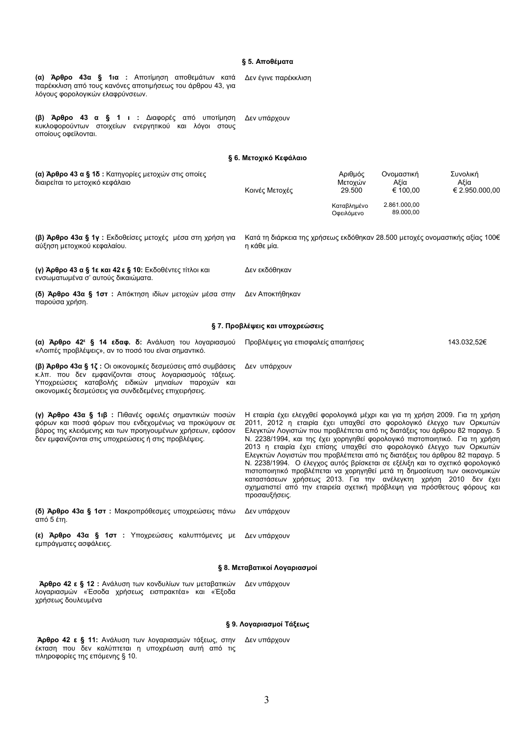## § 5. Αποθέματα

| (α) Άρθρο 43α § 1ια : Αποτίμηση αποθεμάτων κατά<br>παρέκκλιση από τους κανόνες αποτιμήσεως του άρθρου 43, για<br>λόγους φορολογικών ελαφρύνσεων.                                                                                     | Δεν έγινε παρέκκλιση                                                                                                                                                                                                                                                                                                                                                                                                                                                                                                                                                                                                                                                                                                                                                                                 |                              |                                |                                    |  |  |
|--------------------------------------------------------------------------------------------------------------------------------------------------------------------------------------------------------------------------------------|------------------------------------------------------------------------------------------------------------------------------------------------------------------------------------------------------------------------------------------------------------------------------------------------------------------------------------------------------------------------------------------------------------------------------------------------------------------------------------------------------------------------------------------------------------------------------------------------------------------------------------------------------------------------------------------------------------------------------------------------------------------------------------------------------|------------------------------|--------------------------------|------------------------------------|--|--|
| (β) Άρθρο 43 α § 1 ι : Διαφορές από υποτίμηση<br>κυκλοφορούντων στοιχείων ενεργητικού και λόγοι στους<br>οποίους οφείλονται.                                                                                                         | Δεν υπάρχουν                                                                                                                                                                                                                                                                                                                                                                                                                                                                                                                                                                                                                                                                                                                                                                                         |                              |                                |                                    |  |  |
|                                                                                                                                                                                                                                      | § 6. Μετοχικό Κεφάλαιο                                                                                                                                                                                                                                                                                                                                                                                                                                                                                                                                                                                                                                                                                                                                                                               |                              |                                |                                    |  |  |
| (α) Άρθρο 43 α § 1δ : Κατηγορίες μετοχών στις οποίες<br>διαιρείται το μετοχικό κεφάλαιο                                                                                                                                              | Κοινές Μετοχές                                                                                                                                                                                                                                                                                                                                                                                                                                                                                                                                                                                                                                                                                                                                                                                       | Αριθμός<br>Μετοχών<br>29.500 | Ονομαστική<br>Αξία<br>€ 100.00 | Συνολική<br>Αξία<br>€ 2.950.000,00 |  |  |
|                                                                                                                                                                                                                                      |                                                                                                                                                                                                                                                                                                                                                                                                                                                                                                                                                                                                                                                                                                                                                                                                      | Καταβλημένο<br>Οφειλόμενο    | 2.861.000,00<br>89.000,00      |                                    |  |  |
| (β) Άρθρο 43α § 1γ : Εκδοθείσες μετοχές μέσα στη χρήση για<br>αύξηση μετοχικού κεφαλαίου.                                                                                                                                            | Κατά τη διάρκεια της χρήσεως εκδόθηκαν 28.500 μετοχές ονομαστικής αξίας 100€<br>η κάθε μία.                                                                                                                                                                                                                                                                                                                                                                                                                                                                                                                                                                                                                                                                                                          |                              |                                |                                    |  |  |
| (γ) Άρθρο 43 α § 1ε και 42 ε § 10: Εκδοθέντες τίτλοι και<br>ενσωματωμένα σ' αυτούς δικαιώματα.                                                                                                                                       | Δεν εκδόθηκαν                                                                                                                                                                                                                                                                                                                                                                                                                                                                                                                                                                                                                                                                                                                                                                                        |                              |                                |                                    |  |  |
| (δ) Άρθρο 43α § 1στ: Απόκτηση ιδίων μετοχών μέσα στην<br>παρούσα χρήση.                                                                                                                                                              | Δεν Αποκτήθηκαν                                                                                                                                                                                                                                                                                                                                                                                                                                                                                                                                                                                                                                                                                                                                                                                      |                              |                                |                                    |  |  |
|                                                                                                                                                                                                                                      | § 7. Προβλέψεις και υποχρεώσεις                                                                                                                                                                                                                                                                                                                                                                                                                                                                                                                                                                                                                                                                                                                                                                      |                              |                                |                                    |  |  |
| (α) Άρθρο 42 <sup>ε</sup> § 14 εδαφ. δ: Ανάλυση του λογαριασμού<br>«Λοιπές προβλέψεις», αν το ποσό του είναι σημαντικό.                                                                                                              | Προβλέψεις για επισφαλείς απαιτήσεις<br>143.032,52€                                                                                                                                                                                                                                                                                                                                                                                                                                                                                                                                                                                                                                                                                                                                                  |                              |                                |                                    |  |  |
| (β) Άρθρο 43α § 1ζ : Οι οικονομικές δεσμεύσεις από συμβάσεις<br>κ.λπ. που δεν εμφανίζονται στους λογαριασμούς τάξεως.<br>Υποχρεώσεις καταβολής ειδικών μηνιαίων παροχών και<br>οικονομικές δεσμεύσεις για συνδεδεμένες επιχειρήσεις. | Δεν υπάρχουν                                                                                                                                                                                                                                                                                                                                                                                                                                                                                                                                                                                                                                                                                                                                                                                         |                              |                                |                                    |  |  |
| (γ) Άρθρο 43α § 1ιβ : Πιθανές οφειλές σημαντικών ποσών<br>φόρων και ποσά φόρων που ενδεχομένως να προκύψουν σε<br>βάρος της κλειόμενης και των προηγουμένων χρήσεων, εφόσον<br>δεν εμφανίζονται στις υποχρεώσεις ή στις προβλέψεις.  | Η εταιρία έχει ελεγχθεί φορολογικά μέχρι και για τη χρήση 2009. Για τη χρήση<br>2011, 2012 η εταιρία έχει υπαχθεί στο φορολογικό έλεγχο των Ορκωτών<br>Ελεγκτών Λογιστών που προβλέπεται από τις διατάξεις του άρθρου 82 παραγρ. 5<br>Ν. 2238/1994, και της έχει χορηγηθεί φορολογικό πιστοποιητικό. Για τη χρήση<br>2013 η εταιρία έχει επίσης υπαχθεί στο φορολογικό έλεγχο των Ορκωτών<br>Ελεγκτών Λογιστών που προβλέπεται από τις διατάξεις του άρθρου 82 παραγρ. 5<br>Ν. 2238/1994. Ο έλεγχος αυτός βρίσκεται σε εξέλιξη και το σχετικό φορολογικό<br>πιστοποιητικό προβλέπεται να χορηγηθεί μετά τη δημοσίευση των οικονομικών<br>καταστάσεων χρήσεως 2013. Για την ανέλεγκτη χρήση 2010 δεν έχει<br>σχηματιστεί από την εταιρεία σχετική πρόβλεψη για πρόσθετους φόρους και<br>προσαυξήσεις. |                              |                                |                                    |  |  |
| (δ) Άρθρο 43α § 1στ: Μακροπρόθεσμες υποχρεώσεις πάνω<br>Δεν υπάρχουν<br>από 5 έτη.                                                                                                                                                   |                                                                                                                                                                                                                                                                                                                                                                                                                                                                                                                                                                                                                                                                                                                                                                                                      |                              |                                |                                    |  |  |
| (ε) Άρθρο 43α § 1στ : Υποχρεώσεις καλυπτόμενες με<br>εμπράγματες ασφάλειες.                                                                                                                                                          | Δεν υπάρχουν                                                                                                                                                                                                                                                                                                                                                                                                                                                                                                                                                                                                                                                                                                                                                                                         |                              |                                |                                    |  |  |
|                                                                                                                                                                                                                                      | § 8. Μεταβατικοί Λογαριασμοί                                                                                                                                                                                                                                                                                                                                                                                                                                                                                                                                                                                                                                                                                                                                                                         |                              |                                |                                    |  |  |
| <b>Άρθρο 42 ε § 12 :</b> Ανάλυση των κονδυλίων των μεταβατικών<br>λογαριασμών «Έσοδα χρήσεως εισπρακτέα» και «Έξοδα<br>χρήσεως δουλευμένα                                                                                            | Δεν υπάρχουν                                                                                                                                                                                                                                                                                                                                                                                                                                                                                                                                                                                                                                                                                                                                                                                         |                              |                                |                                    |  |  |
|                                                                                                                                                                                                                                      | § 9. Λογαριασμοί Τάξεως                                                                                                                                                                                                                                                                                                                                                                                                                                                                                                                                                                                                                                                                                                                                                                              |                              |                                |                                    |  |  |
| Άρθρο 42 ε § 11: Ανάλυση των λογαριασμών τάξεως, στην<br>έκταση που δεν καλύπτεται η υποχρέωση αυτή από τις<br>πληροφορίες της επόμενης § 10.                                                                                        | Δεν υπάρχουν                                                                                                                                                                                                                                                                                                                                                                                                                                                                                                                                                                                                                                                                                                                                                                                         |                              |                                |                                    |  |  |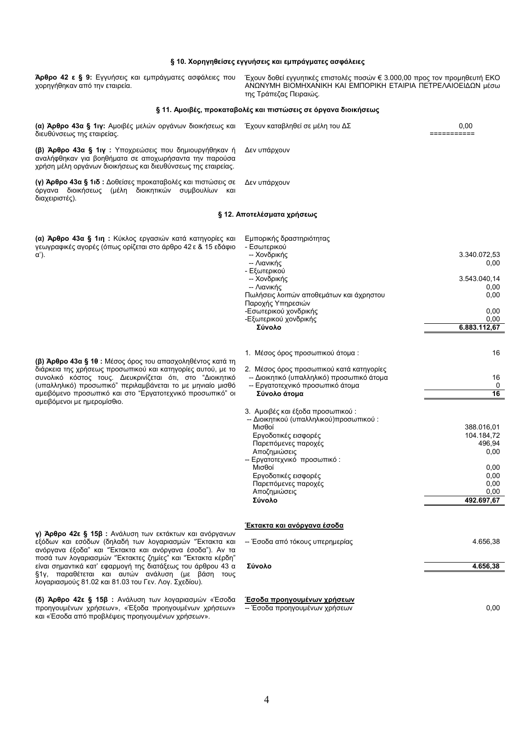## § 10. Χορηγηθείσες εγγυήσεις και εμπράγματες ασφάλειες Άρθρο 42 ε § 9: Εγγυήσεις και εμπράγματες ασφάλειες που Έχουν δοθεί εγγυητικές επιστολές ποσών € 3.000,00 προς τον προμηθευτή ΕΚΟ

| χορηγήθηκαν από την εταιρεία.                                                                                                                                                   | ΑΝΩΝΥΜΗ ΒΙΟΜΗΧΑΝΙΚΗ ΚΑΙ ΕΜΠΟΡΙΚΗ ΕΤΑΙΡΙΑ ΠΕΤΡΕΛΑΙΟΕΙΔΩΝ μέσω<br>της Τράπεζας Πειραιώς. |                      |  |  |  |  |
|---------------------------------------------------------------------------------------------------------------------------------------------------------------------------------|----------------------------------------------------------------------------------------|----------------------|--|--|--|--|
|                                                                                                                                                                                 | § 11. Αμοιβές, προκαταβολές και πιστώσεις σε όργανα διοικήσεως                         |                      |  |  |  |  |
| (α) Άρθρο 43α § 1ιγ: Αμοιβές μελών οργάνων διοικήσεως και Έχουν καταβληθεί σε μέλη του ΔΣ<br>διευθύνσεως της εταιρείας.                                                         |                                                                                        | 0,00<br>===========  |  |  |  |  |
| (β) Άρθρο 43α § 1ιγ : Υποχρεώσεις που δημιουργήθηκαν ή<br>αναλήφθηκαν για βοηθήματα σε αποχωρήσαντα την παρούσα<br>χρήση μέλη οργάνων διοικήσεως και διευθύνσεως της εταιρείας. | Δεν υπάρχουν                                                                           |                      |  |  |  |  |
| (γ) Άρθρο 43α § 1ιδ : Δοθείσες προκαταβολές και πιστώσεις σε<br>όργανα διοικήσεως (μέλη διοικητικών συμβουλίων και<br>διαχειριστές).                                            | Δεν υπάρχουν                                                                           |                      |  |  |  |  |
|                                                                                                                                                                                 | § 12. Αποτελέσματα χρήσεως                                                             |                      |  |  |  |  |
| (α) Άρθρο 43α § 1ιη : Κύκλος εργασιών κατά κατηγορίες και<br>γεωγραφικές αγορές (όπως ορίζεται στο άρθρο 42 ε & 15 εδάφιο<br>α').                                               | Εμπορικής δραστηριότητας<br>- Εσωτερικού<br>-- Χονδρικής                               | 3.340.072,53         |  |  |  |  |
|                                                                                                                                                                                 | -- Λιανικής<br>- Εξωτερικού                                                            | 0,00                 |  |  |  |  |
|                                                                                                                                                                                 | -- Χονδρικής                                                                           | 3.543.040,14         |  |  |  |  |
|                                                                                                                                                                                 | -- Λιανικής<br>Πωλήσεις λοιπών αποθεμάτων και άχρηστου<br>Παροχής Υπηρεσιών            | 0,00<br>0,00         |  |  |  |  |
|                                                                                                                                                                                 | -Εσωτερικού χονδρικής                                                                  | 0,00                 |  |  |  |  |
|                                                                                                                                                                                 | -Εξωτερικού χονδρικής<br>Σύνολο                                                        | 0,00<br>6.883.112,67 |  |  |  |  |
|                                                                                                                                                                                 | 1. Μέσος όρος προσωπικού άτομα:                                                        | 16                   |  |  |  |  |
| (β) Άρθρο 43α § 10 : Μέσος όρος του απασχοληθέντος κατά τη<br>διάρκεια της χρήσεως προσωπικού και κατηγορίες αυτού, με το                                                       | 2. Μέσος όρος προσωπικού κατά κατηγορίες                                               |                      |  |  |  |  |
| συνολικό κόστος τους. Διευκρινίζεται ότι, στο "Διοικητικό                                                                                                                       | -- Διοικητικό (υπαλληλικό) προσωπικό άτομα                                             | 16                   |  |  |  |  |
| (υπαλληλικό) προσωπικό" περιλαμβάνεται το με μηνιαίο μισθό                                                                                                                      | -- Εργατοτεχνικό προσωπικό άτομα                                                       | 0                    |  |  |  |  |
| αμειβόμενο προσωπικό και στο "Εργατοτεχνικό προσωπικό" οι<br>αμειβόμενοι με ημερομίσθιο.                                                                                        | Σύνολο άτομα                                                                           | 16                   |  |  |  |  |
|                                                                                                                                                                                 | 3. Αμοιβές και έξοδα προσωπικού :<br>-- Διοικητικού (υπαλληλικού)προσωπικού:           |                      |  |  |  |  |
|                                                                                                                                                                                 | Μισθοί                                                                                 | 388.016,01           |  |  |  |  |
|                                                                                                                                                                                 | Εργοδοτικές εισφορές                                                                   | 104.184,72           |  |  |  |  |
|                                                                                                                                                                                 | Παρεπόμενες παροχές<br>Αποζημιώσεις                                                    | 496,94<br>0,00       |  |  |  |  |
|                                                                                                                                                                                 | Εργατοτεχνικό προσωπικό:                                                               |                      |  |  |  |  |
|                                                                                                                                                                                 | Μισθοί                                                                                 | 0,00                 |  |  |  |  |
|                                                                                                                                                                                 | Εργοδοτικές εισφορές<br>Παρεπόμενες παροχές                                            | 0,00<br>0,00         |  |  |  |  |
|                                                                                                                                                                                 | Αποζημιώσεις                                                                           | 0,00                 |  |  |  |  |
|                                                                                                                                                                                 | Σύνολο                                                                                 | 492.697,67           |  |  |  |  |
|                                                                                                                                                                                 | <u>Έκτακτα και ανόργανα έσοδα</u>                                                      |                      |  |  |  |  |
| γ) Άρθρο 42ε § 15β : Ανάλυση των εκτάκτων και ανόργανων<br>εξόδων και εσόδων (δηλαδή των λογαριασμών "Εκτακτα και<br>ανόργανα έξοδα" και "Έκτακτα και ανόργανα έσοδα"). Αν τα   | -- Έσοδα από τόκους υπερημερίας                                                        | 4.656,38             |  |  |  |  |
| ποσά των λογαριασμών "Έκτακτες ζημίες" και "Έκτακτα κέρδη"<br>είναι σημαντικά κατ' εφαρμογή της διατάξεως του άρθρου 43 α                                                       | Σύνολο                                                                                 | 4.656,38             |  |  |  |  |
| §1γ, παραθέτεται και αυτών ανάλυση (με βάση τους<br>λογαριασμούς 81.02 και 81.03 του Γεν. Λογ. Σχεδίου).                                                                        |                                                                                        |                      |  |  |  |  |
| (δ) Άρθρο 42ε § 15β : Ανάλυση των λογαριασμών «Έσοδα<br>προηγουμένων χρήσεων», «Έξοδα προηγουμένων χρήσεων»<br>και «Έσοδα από προβλέψεις προηγουμένων χρήσεων».                 | <u>Έσοδα προηγουμένων χρήσεων</u><br>-- Έσοδα προηγουμένων χρήσεων                     | 0,00                 |  |  |  |  |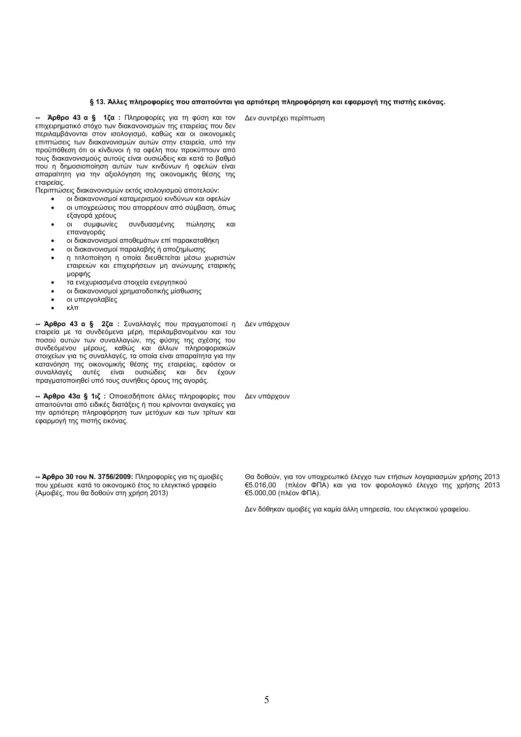#### § 13. Άλλες πληροφορίες που απαιτούνται για αρτιότερη πληροφόρηση και εφαρμογή της πιστής εικόνας.

Δεν συντρέχει περίπτωση

Άρθρο 43 α § 1ζα : Πληροφορίες για τη φύση και τον επιχειρηματικό στόχο των διακανονισμών της εταιρείας που δεν περιλαμβάνονται στον ισολογισμό, καθώς και οι οικονομικές επιπτώσεις των διακανονισμών αυτών στην εταιρεία, υπό την προϋπόθεση ότι οι κίνδυνοι ή τα οφέλη που προκύπτουν από τους διακανονισμούς αυτούς είναι ουσιώδεις και κατά το βαθμό που η δημοσιοποίηση αυτών των κινδύνων ή οφελών είναι απαραίτητη για την αξιολόγηση της οικονομικής θέσης της εταιρείας

Περιπτώσεις διακανονισμών εκτός ισολογισμού αποτελούν:

- οι διακανονισμοί καταμερισμού κινδύνων και οφελών οι υποχρεώσεις που απορρέουν από σύμβαση, όπως  $\bullet$
- εξαγορά χρέους
- $\overline{O}$ συμφωνίες συνδυασμένης πώλησης και επανανοράς
- οι διακανονισμοί αποθεμάτων επί παρακαταθήκη
- οι διακανονισμοί παραλαβής ή αποζημίωσης
- η τιτλοποίηση η οποία διευθετείται μέσω χωριστών εταιρειών και επιχειρήσεων μη ανώνυμης εταιρικής μορφής
- τα ενεχυριασμένα στοιχεία ενεργητικού
- οι διακανονισμοί χρηματοδοτικής μίσθωσης
- οι υπεργολαβίες
- κλπ

- Άρθρο 43 α § 2ζα : Συναλλαγές που πραγματοποιεί η Δεν υπάρχουν εταιρεία με τα συνδεόμενα μέρη, περιλαμβανομένου και του σταιρεία με τα συτσερμέτα μερίτη, περιπαμματορείτου παι του<br>ποσού αυτών των συναλλαγών, της φύσης της σχέσης του<br>συνδεόμενου μέρους, καθώς και άλλων πληροφοριακών στοιχείων για τις συναλλαγές, τα οποία είναι απαραίτητα για την κατανόηση της οικονομικής θέσης της εταιρείας, εφόσον οι<br>συναλλαγές αυτές είναι ουσιώδεις και δεν έχουν πραγματοποιηθεί υπό τους συνήθεις όρους της αγοράς.

- Άρθρο 43α § 1ιζ : Οποιεσδήποτε άλλες πληροφορίες που Δεν υπάρχουν απαιτούνται από ειδικές διατάξεις ή που κρίνονται αναγκαίες για την αρτιότερη πληροφόρηση των μετόχων και των τρίτων και εφαρμογή της πιστής εικόνας.

-- Άρθρο 30 του Ν. 3756/2009: Πληροφορίες για τις αμοιβές που χρέωσε κατά το οικονομικό έτος το ελεγκτικό γραφείο (Αμοιβές, που θα δοθούν στη χρήση 2013)

Θα δοθούν, για τον υποχρεωτικό έλεγχο των ετήσιων λογαριασμών χρήσης 2013 €5.016,00 (πλέον ΦΠΑ) και για τον φορολογικό έλεγχο της χρήσης 2013 €5.000,00 (πλέον ΦΠΑ).

Δεν δόθηκαν αμοιβές για καμία άλλη υπηρεσία, του ελεγκτικού γραφείου.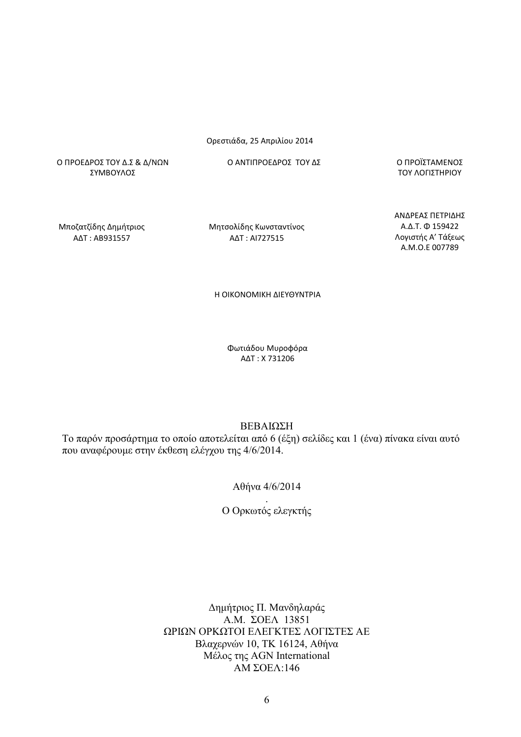## Ορεστιάδα, 25 Απριλίου 2014

Ο ΠΡΟΕΔΡΟΣ ΤΟΥ Δ.Σ & Δ/ΝΩΝ ΣΥΜΒΟΥΛΟΣ

Ο ΑΝΤΙΠΡΟΕΔΡΟΣ ΤΟΥ ΔΣ

Ο ΠΡΟΪΣΤΑΜΕΝΟΣ ΤΟΥ ΛΟΓΙΣΤΗΡΙΟΥ

Μποζατζίδης Δημήτριος AΔT: AB931557

Μητσολίδης Κωνσταντίνος AΔT: AI727515

ΑΝΔΡΕΑΣ ΠΕΤΡΙΔΗΣ A.Δ.T. Φ 159422 Λογιστής Α' Τάξεως A.M.O.E 007789

Η ΟΙΚΟΝΟΜΙΚΗ ΔΙΕΥΘΥΝΤΡΙΑ

Φωτιάδου Μυροφόρα AΔT: X731206

ΒΕΒΑΙΩΣΗ

Το παρόν προσάρτημα το οποίο αποτελείται από 6 (έξη) σελίδες και 1 (ένα) πίνακα είναι αυτό που αναφέρουμε στην έκθεση ελέγχου της 4/6/2014.

Αθήνα 4/6/2014

Ο Ορκωτός ελεγκτής

Δημήτριος Π. Μανδηλαράς A M  $\Sigma$ OEA 13851 ΩΡΙΩΝ ΟΡΚΩΤΟΙ ΕΛΕΓΚΤΕΣ ΛΟΓΙΣΤΕΣ ΑΕ Βλαχερνών 10, ΤΚ 16124, Αθήνα Μέλος της AGN International  $AM$  ΣΟΕΛ:146